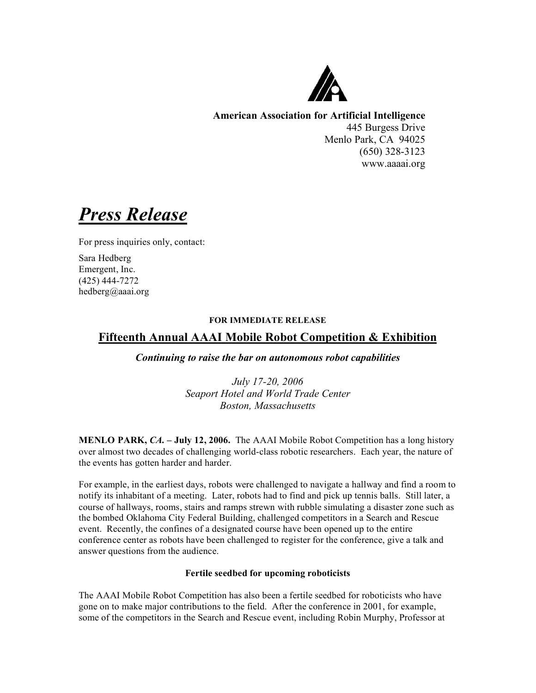

**American Association for Artificial Intelligence** 445 Burgess Drive Menlo Park, CA 94025 (650) 328-3123 www.aaaai.org

*Press Release*

For press inquiries only, contact:

Sara Hedberg Emergent, Inc. (425) 444-7272 hedberg@aaai.org

## **FOR IMMEDIATE RELEASE**

# **Fifteenth Annual AAAI Mobile Robot Competition & Exhibition**

*Continuing to raise the bar on autonomous robot capabilities*

*July 17-20, 2006 Seaport Hotel and World Trade Center Boston, Massachusetts*

**MENLO PARK,** *CA.* **– July 12, 2006.** The AAAI Mobile Robot Competition has a long history over almost two decades of challenging world-class robotic researchers. Each year, the nature of the events has gotten harder and harder.

For example, in the earliest days, robots were challenged to navigate a hallway and find a room to notify its inhabitant of a meeting. Later, robots had to find and pick up tennis balls. Still later, a course of hallways, rooms, stairs and ramps strewn with rubble simulating a disaster zone such as the bombed Oklahoma City Federal Building, challenged competitors in a Search and Rescue event. Recently, the confines of a designated course have been opened up to the entire conference center as robots have been challenged to register for the conference, give a talk and answer questions from the audience.

## **Fertile seedbed for upcoming roboticists**

The AAAI Mobile Robot Competition has also been a fertile seedbed for roboticists who have gone on to make major contributions to the field. After the conference in 2001, for example, some of the competitors in the Search and Rescue event, including Robin Murphy, Professor at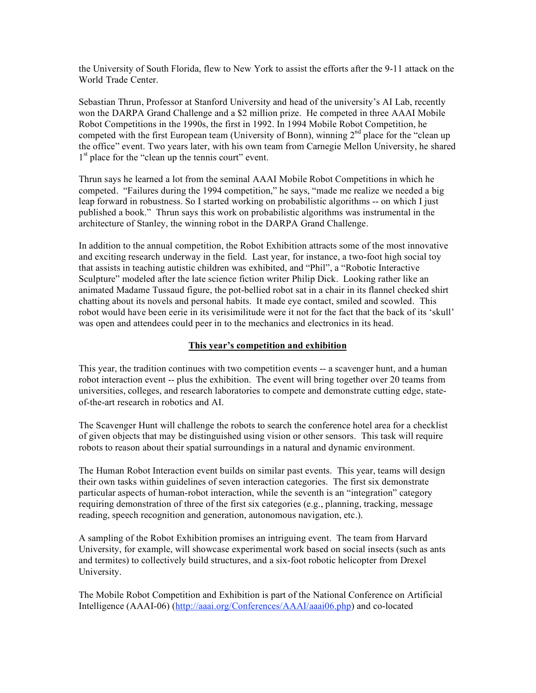the University of South Florida, flew to New York to assist the efforts after the 9-11 attack on the World Trade Center.

Sebastian Thrun, Professor at Stanford University and head of the university's AI Lab, recently won the DARPA Grand Challenge and a \$2 million prize. He competed in three AAAI Mobile Robot Competitions in the 1990s, the first in 1992. In 1994 Mobile Robot Competition, he competed with the first European team (University of Bonn), winning  $2<sup>nd</sup>$  place for the "clean up the office" event. Two years later, with his own team from Carnegie Mellon University, he shared 1<sup>st</sup> place for the "clean up the tennis court" event.

Thrun says he learned a lot from the seminal AAAI Mobile Robot Competitions in which he competed. "Failures during the 1994 competition," he says, "made me realize we needed a big leap forward in robustness. So I started working on probabilistic algorithms -- on which I just published a book." Thrun says this work on probabilistic algorithms was instrumental in the architecture of Stanley, the winning robot in the DARPA Grand Challenge.

In addition to the annual competition, the Robot Exhibition attracts some of the most innovative and exciting research underway in the field. Last year, for instance, a two-foot high social toy that assists in teaching autistic children was exhibited, and "Phil", a "Robotic Interactive Sculpture" modeled after the late science fiction writer Philip Dick. Looking rather like an animated Madame Tussaud figure, the pot-bellied robot sat in a chair in its flannel checked shirt chatting about its novels and personal habits. It made eye contact, smiled and scowled. This robot would have been eerie in its verisimilitude were it not for the fact that the back of its 'skull' was open and attendees could peer in to the mechanics and electronics in its head.

### **This year's competition and exhibition**

This year, the tradition continues with two competition events -- a scavenger hunt, and a human robot interaction event -- plus the exhibition. The event will bring together over 20 teams from universities, colleges, and research laboratories to compete and demonstrate cutting edge, stateof-the-art research in robotics and AI.

The Scavenger Hunt will challenge the robots to search the conference hotel area for a checklist of given objects that may be distinguished using vision or other sensors. This task will require robots to reason about their spatial surroundings in a natural and dynamic environment.

The Human Robot Interaction event builds on similar past events. This year, teams will design their own tasks within guidelines of seven interaction categories. The first six demonstrate particular aspects of human-robot interaction, while the seventh is an "integration" category requiring demonstration of three of the first six categories (e.g., planning, tracking, message reading, speech recognition and generation, autonomous navigation, etc.).

A sampling of the Robot Exhibition promises an intriguing event. The team from Harvard University, for example, will showcase experimental work based on social insects (such as ants and termites) to collectively build structures, and a six-foot robotic helicopter from Drexel University.

The Mobile Robot Competition and Exhibition is part of the National Conference on Artificial Intelligence (AAAI-06) (http://aaai.org/Conferences/AAAI/aaai06.php) and co-located